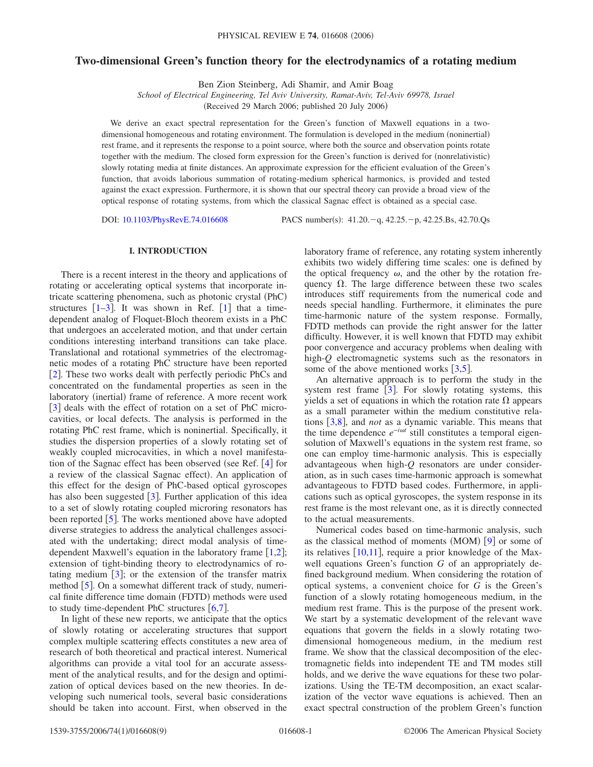# **Two-dimensional Green's function theory for the electrodynamics of a rotating medium**

Ben Zion Steinberg, Adi Shamir, and Amir Boag

*School of Electrical Engineering, Tel Aviv University, Ramat-Aviv, Tel-Aviv 69978, Israel*

(Received 29 March 2006; published 20 July 2006)

We derive an exact spectral representation for the Green's function of Maxwell equations in a twodimensional homogeneous and rotating environment. The formulation is developed in the medium (noninertial) rest frame, and it represents the response to a point source, where both the source and observation points rotate together with the medium. The closed form expression for the Green's function is derived for (nonrelativistic) slowly rotating media at finite distances. An approximate expression for the efficient evaluation of the Green's function, that avoids laborious summation of rotating-medium spherical harmonics, is provided and tested against the exact expression. Furthermore, it is shown that our spectral theory can provide a broad view of the optical response of rotating systems, from which the classical Sagnac effect is obtained as a special case.

DOI: [10.1103/PhysRevE.74.016608](http://dx.doi.org/10.1103/PhysRevE.74.016608)

PACS number(s):  $41.20 - q$ ,  $42.25 - p$ ,  $42.25.Bs$ ,  $42.70.Qs$ 

# **I. INTRODUCTION**

There is a recent interest in the theory and applications of rotating or accelerating optical systems that incorporate intricate scattering phenomena, such as photonic crystal (PhC) structures  $[1-3]$  $[1-3]$  $[1-3]$ . It was shown in Ref.  $[1]$  $[1]$  $[1]$  that a timedependent analog of Floquet-Bloch theorem exists in a PhC that undergoes an accelerated motion, and that under certain conditions interesting interband transitions can take place. Translational and rotational symmetries of the electromagnetic modes of a rotating PhC structure have been reported [[2](#page-8-2)]. These two works dealt with perfectly periodic PhCs and concentrated on the fundamental properties as seen in the laboratory (inertial) frame of reference. A more recent work [[3](#page-8-1)] deals with the effect of rotation on a set of PhC microcavities, or local defects. The analysis is performed in the rotating PhC rest frame, which is noninertial. Specifically, it studies the dispersion properties of a slowly rotating set of weakly coupled microcavities, in which a novel manifestation of the Sagnac effect has been observed (see Ref.  $[4]$  $[4]$  $[4]$  for a review of the classical Sagnac effect). An application of this effect for the design of PhC-based optical gyroscopes has also been suggested  $\lceil 3 \rceil$  $\lceil 3 \rceil$  $\lceil 3 \rceil$ . Further application of this idea to a set of slowly rotating coupled microring resonators has been reported  $\lceil 5 \rceil$  $\lceil 5 \rceil$  $\lceil 5 \rceil$ . The works mentioned above have adopted diverse strategies to address the analytical challenges associated with the undertaking; direct modal analysis of timedependent Maxwell's equation in the laboratory frame  $[1,2]$  $[1,2]$  $[1,2]$  $[1,2]$ ; extension of tight-binding theory to electrodynamics of rotating medium  $\lceil 3 \rceil$  $\lceil 3 \rceil$  $\lceil 3 \rceil$ ; or the extension of the transfer matrix method  $\lceil 5 \rceil$  $\lceil 5 \rceil$  $\lceil 5 \rceil$ . On a somewhat different track of study, numerical finite difference time domain (FDTD) methods were used to study time-dependent PhC structures  $[6,7]$  $[6,7]$  $[6,7]$  $[6,7]$ .

In light of these new reports, we anticipate that the optics of slowly rotating or accelerating structures that support complex multiple scattering effects constitutes a new area of research of both theoretical and practical interest. Numerical algorithms can provide a vital tool for an accurate assessment of the analytical results, and for the design and optimization of optical devices based on the new theories. In developing such numerical tools, several basic considerations should be taken into account. First, when observed in the laboratory frame of reference, any rotating system inherently exhibits two widely differing time scales: one is defined by the optical frequency  $\omega$ , and the other by the rotation frequency  $\Omega$ . The large difference between these two scales introduces stiff requirements from the numerical code and needs special handling. Furthermore, it eliminates the pure time-harmonic nature of the system response. Formally, FDTD methods can provide the right answer for the latter difficulty. However, it is well known that FDTD may exhibit poor convergence and accuracy problems when dealing with high-*Q* electromagnetic systems such as the resonators in some of the above mentioned works  $\lceil 3, 5 \rceil$  $\lceil 3, 5 \rceil$  $\lceil 3, 5 \rceil$  $\lceil 3, 5 \rceil$  $\lceil 3, 5 \rceil$ .

An alternative approach is to perform the study in the system rest frame  $\lceil 3 \rceil$  $\lceil 3 \rceil$  $\lceil 3 \rceil$ . For slowly rotating systems, this yields a set of equations in which the rotation rate  $\Omega$  appears as a small parameter within the medium constitutive relations  $\lceil 3,8 \rceil$  $\lceil 3,8 \rceil$  $\lceil 3,8 \rceil$  $\lceil 3,8 \rceil$ , and *not* as a dynamic variable. This means that the time dependence  $e^{-i\omega t}$  still constitutes a temporal eigensolution of Maxwell's equations in the system rest frame, so one can employ time-harmonic analysis. This is especially advantageous when high-*Q* resonators are under consideration, as in such cases time-harmonic approach is somewhat advantageous to FDTD based codes. Furthermore, in applications such as optical gyroscopes, the system response in its rest frame is the most relevant one, as it is directly connected to the actual measurements.

Numerical codes based on time-harmonic analysis, such as the classical method of moments (MOM)  $[9]$  $[9]$  $[9]$  or some of its relatives  $[10,11]$  $[10,11]$  $[10,11]$  $[10,11]$ , require a prior knowledge of the Maxwell equations Green's function *G* of an appropriately defined background medium. When considering the rotation of optical systems, a convenient choice for *G* is the Green's function of a slowly rotating homogeneous medium, in the medium rest frame. This is the purpose of the present work. We start by a systematic development of the relevant wave equations that govern the fields in a slowly rotating twodimensional homogeneous medium, in the medium rest frame. We show that the classical decomposition of the electromagnetic fields into independent TE and TM modes still holds, and we derive the wave equations for these two polarizations. Using the TE-TM decomposition, an exact scalarization of the vector wave equations is achieved. Then an exact spectral construction of the problem Green's function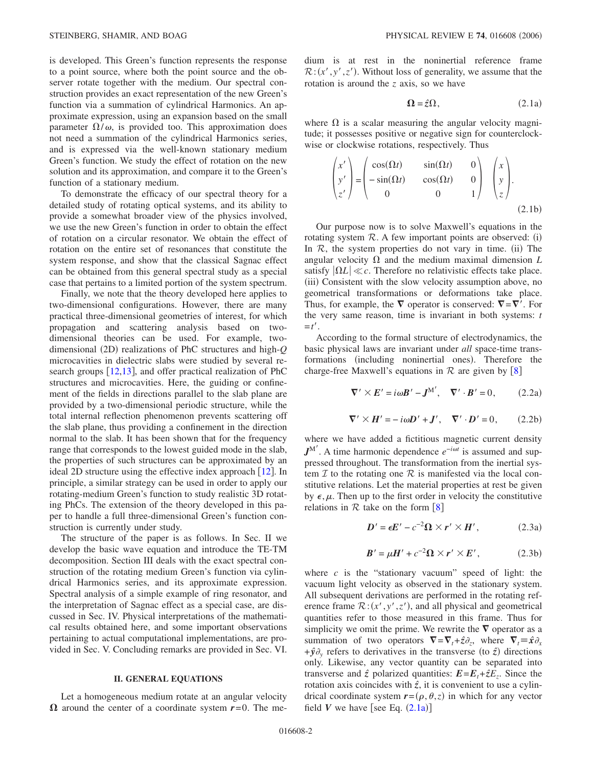is developed. This Green's function represents the response to a point source, where both the point source and the observer rotate together with the medium. Our spectral construction provides an exact representation of the new Green's function via a summation of cylindrical Harmonics. An approximate expression, using an expansion based on the small parameter  $\Omega/\omega$ , is provided too. This approximation does not need a summation of the cylindrical Harmonics series, and is expressed via the well-known stationary medium Green's function. We study the effect of rotation on the new solution and its approximation, and compare it to the Green's function of a stationary medium.

To demonstrate the efficacy of our spectral theory for a detailed study of rotating optical systems, and its ability to provide a somewhat broader view of the physics involved, we use the new Green's function in order to obtain the effect of rotation on a circular resonator. We obtain the effect of rotation on the entire set of resonances that constitute the system response, and show that the classical Sagnac effect can be obtained from this general spectral study as a special case that pertains to a limited portion of the system spectrum.

Finally, we note that the theory developed here applies to two-dimensional configurations. However, there are many practical three-dimensional geometries of interest, for which propagation and scattering analysis based on twodimensional theories can be used. For example, twodimensional (2D) realizations of PhC structures and high-*Q* microcavities in dielectric slabs were studied by several research groups  $[12,13]$  $[12,13]$  $[12,13]$  $[12,13]$ , and offer practical realization of PhC structures and microcavities. Here, the guiding or confinement of the fields in directions parallel to the slab plane are provided by a two-dimensional periodic structure, while the total internal reflection phenomenon prevents scattering off the slab plane, thus providing a confinement in the direction normal to the slab. It has been shown that for the frequency range that corresponds to the lowest guided mode in the slab, the properties of such structures can be approximated by an ideal 2D structure using the effective index approach  $\lceil 12 \rceil$  $\lceil 12 \rceil$  $\lceil 12 \rceil$ . In principle, a similar strategy can be used in order to apply our rotating-medium Green's function to study realistic 3D rotating PhCs. The extension of the theory developed in this paper to handle a full three-dimensional Green's function construction is currently under study.

The structure of the paper is as follows. In Sec. II we develop the basic wave equation and introduce the TE-TM decomposition. Section III deals with the exact spectral construction of the rotating medium Green's function via cylindrical Harmonics series, and its approximate expression. Spectral analysis of a simple example of ring resonator, and the interpretation of Sagnac effect as a special case, are discussed in Sec. IV. Physical interpretations of the mathematical results obtained here, and some important observations pertaining to actual computational implementations, are provided in Sec. V. Concluding remarks are provided in Sec. VI.

### **II. GENERAL EQUATIONS**

Let a homogeneous medium rotate at an angular velocity  $\Omega$  around the center of a coordinate system  $r=0$ . The medium is at rest in the noninertial reference frame  $\mathcal{R}$ :  $(x', y', z')$ . Without loss of generality, we assume that the rotation is around the *z* axis, so we have

$$
\Omega = \hat{z}\Omega, \tag{2.1a}
$$

<span id="page-1-0"></span>where  $\Omega$  is a scalar measuring the angular velocity magnitude; it possesses positive or negative sign for counterclockwise or clockwise rotations, respectively. Thus

$$
\begin{pmatrix} x' \\ y' \\ z' \end{pmatrix} = \begin{pmatrix} \cos(\Omega t) & \sin(\Omega t) & 0 \\ -\sin(\Omega t) & \cos(\Omega t) & 0 \\ 0 & 0 & 1 \end{pmatrix} \begin{pmatrix} x \\ y \\ z \end{pmatrix}.
$$
\n(2.1b)

Our purpose now is to solve Maxwell's equations in the rotating system  $R$ . A few important points are observed: (i) In  $R$ , the system properties do not vary in time. (ii) The angular velocity  $\Omega$  and the medium maximal dimension  $L$ satisfy  $|\Omega L| \ll c$ . Therefore no relativistic effects take place. (iii) Consistent with the slow velocity assumption above, no geometrical transformations or deformations take place. Thus, for example, the  $\nabla$  operator is conserved:  $\nabla = \nabla'$ . For the very same reason, time is invariant in both systems: *t*  $=t^{\prime}$ .

<span id="page-1-3"></span>According to the formal structure of electrodynamics, the basic physical laws are invariant under *all* space-time transformations (including noninertial ones). Therefore the charge-free Maxwell's equations in  $\mathcal R$  are given by [[8](#page-8-7)]

$$
\nabla' \times \mathbf{E}' = i\omega \mathbf{B}' - \mathbf{J}^{\mathbf{M}'}, \quad \nabla' \cdot \mathbf{B}' = 0, \quad (2.2a)
$$

$$
\nabla' \times H' = -i\omega D' + J', \quad \nabla' \cdot D' = 0, \qquad (2.2b)
$$

<span id="page-1-4"></span>where we have added a fictitious magnetic current density *J*<sup>M'</sup>. A time harmonic dependence  $e^{-i\omega t}$  is assumed and suppressed throughout. The transformation from the inertial system  $I$  to the rotating one  $R$  is manifested via the local constitutive relations. Let the material properties at rest be given by  $\epsilon$ ,  $\mu$ . Then up to the first order in velocity the constitutive relations in  $R$  take on the form [[8](#page-8-7)]

$$
\mathbf{D}' = \epsilon \mathbf{E}' - c^{-2} \mathbf{\Omega} \times \mathbf{r}' \times \mathbf{H}', \qquad (2.3a)
$$

$$
\boldsymbol{B}' = \mu \boldsymbol{H}' + c^{-2} \boldsymbol{\Omega} \times \boldsymbol{r}' \times \boldsymbol{E}', \tag{2.3b}
$$

<span id="page-1-2"></span><span id="page-1-1"></span>where  $c$  is the "stationary vacuum" speed of light: the vacuum light velocity as observed in the stationary system. All subsequent derivations are performed in the rotating reference frame  $\mathcal{R}$ :  $(x', y', z')$ , and all physical and geometrical quantities refer to those measured in this frame. Thus for simplicity we omit the prime. We rewrite the  $\nabla$  operator as a summation of two operators  $\nabla = \nabla_t + \hat{z}\partial_z$ , where  $\nabla_t \equiv \hat{x}\partial_x$  $+\hat{y}\partial_y$  refers to derivatives in the transverse (to  $\hat{z}$ ) directions only. Likewise, any vector quantity can be separated into transverse and  $\hat{z}$  polarized quantities:  $E = E_t + \hat{z}E_z$ . Since the rotation axis coincides with  $\hat{z}$ , it is convenient to use a cylindrical coordinate system  $r = (\rho, \theta, z)$  in which for any vector field  $V$  we have [see Eq.  $(2.1a)$  $(2.1a)$  $(2.1a)$ ]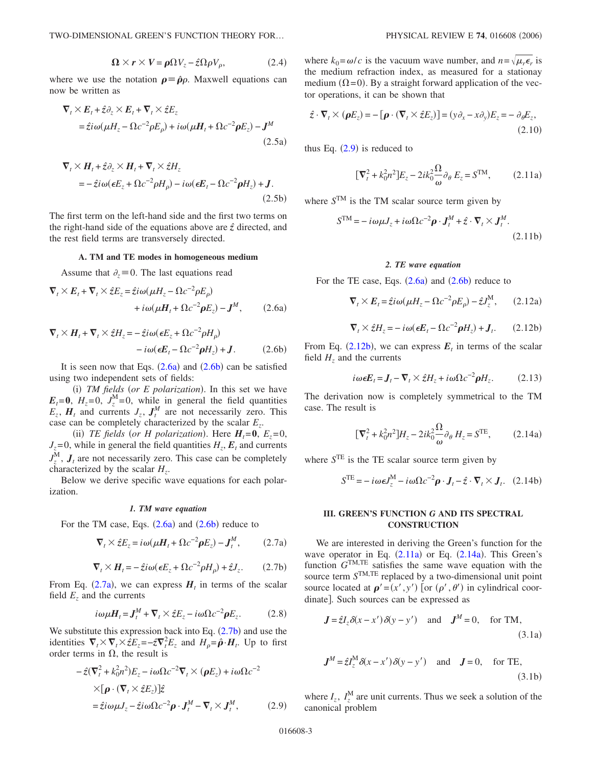<span id="page-2-8"></span>TWO-DIMENSIONAL GREEN'S FUNCTION THEORY FOR...

$$
\Omega \times r \times V = \rho \Omega V_z - \hat{z} \Omega \rho V_\rho, \qquad (2.4)
$$

where we use the notation  $\rho \equiv \hat{\rho} \rho$ . Maxwell equations can now be written as

$$
\nabla_t \times E_t + \hat{z}\partial_z \times E_t + \nabla_t \times \hat{z}E_z
$$
  
=  $\hat{z}i\omega(\mu H_z - \Omega c^{-2}\rho E_\rho) + i\omega(\mu H_t + \Omega c^{-2}\rho E_z) - J^M$   
(2.5a)

$$
\nabla_t \times H_t + \hat{z}\partial_z \times H_t + \nabla_t \times \hat{z}H_z
$$
  
=  $-\hat{z}i\omega(\epsilon E_z + \Omega c^{-2}\rho H_\rho) - i\omega(\epsilon E_t - \Omega c^{-2}\rho H_z) + J.$  (2.5b)

The first term on the left-hand side and the first two terms on the right-hand side of the equations above are *zˆ* directed, and the rest field terms are transversely directed.

#### **A. TM and TE modes in homogeneous medium**

Assume that  $\partial_z = 0$ . The last equations read

<span id="page-2-0"></span>
$$
\nabla_t \times \boldsymbol{E}_t + \nabla_t \times \hat{\boldsymbol{\chi}} E_z = \hat{\boldsymbol{\chi}} i \omega (\mu H_z - \Omega c^{-2} \rho E_\rho) + i \omega (\mu H_t + \Omega c^{-2} \rho E_z) - \boldsymbol{J}^M, \qquad (2.6a)
$$

<span id="page-2-1"></span>
$$
\nabla_t \times H_t + \nabla_t \times \hat{z} H_z = -\hat{z} i \omega (\epsilon E_z + \Omega c^{-2} \rho H_\rho)
$$
  
-  $i \omega (\epsilon E_t - \Omega c^{-2} \rho H_z) + J.$  (2.6b)

It is seen now that Eqs.  $(2.6a)$  $(2.6a)$  $(2.6a)$  and  $(2.6b)$  $(2.6b)$  $(2.6b)$  can be satisfied using two independent sets of fields:

(i) TM fields (or E polarization). In this set we have  $E_t = 0$ ,  $H_z = 0$ ,  $J_z^M = 0$ , while in general the field quantities  $E_z$ ,  $H_t$  and currents  $J_z$ ,  $J_t^M$  are not necessarily zero. This case can be completely characterized by the scalar *Ez*.

(ii) TE fields (or *H* polarization). Here  $H_t = 0$ ,  $E_z = 0$ ,  $J_z = 0$ , while in general the field quantities  $H_z$ ,  $E_t$  and currents  $J_z^M$ ,  $J_t$  are not necessarily zero. This case can be completely characterized by the scalar *Hz*.

Below we derive specific wave equations for each polarization.

## *1. TM wave equation*

<span id="page-2-2"></span>For the TM case, Eqs.  $(2.6a)$  $(2.6a)$  $(2.6a)$  and  $(2.6b)$  $(2.6b)$  $(2.6b)$  reduce to

$$
\nabla_t \times \hat{z} E_z = i\omega (\mu H_t + \Omega c^{-2} \rho E_z) - J_t^M, \qquad (2.7a)
$$

$$
\nabla_t \times H_t = -\hat{z} i \omega (\epsilon E_z + \Omega c^{-2} \rho H_\rho) + \hat{z} J_z.
$$
 (2.7b)

<span id="page-2-3"></span>From Eq. ([2.7a](#page-2-2)), we can express  $H_t$  in terms of the scalar field  $E_z$  and the currents

$$
i\omega\mu H_t = J_t^M + \nabla_t \times \hat{z} E_z - i\omega \Omega c^{-2} \rho E_z.
$$
 (2.8)

<span id="page-2-9"></span>We substitute this expression back into Eq.  $(2.7b)$  $(2.7b)$  $(2.7b)$  and use the identities  $\nabla_t \times \nabla_t \times \overline{\hat{z}}E_z = -\hat{z}\nabla_t^2 E_z$  and  $H_\rho = \hat{\rho} \cdot H_t$ . Up to first order terms in  $\Omega$ , the result is

<span id="page-2-4"></span>
$$
-\hat{z}(\nabla_t^2 + k_0^2 n^2) E_z - i\omega \Omega c^{-2} \nabla_t \times (\rho E_z) + i\omega \Omega c^{-2}
$$
  
 
$$
\times [\rho \cdot (\nabla_t \times \hat{z} E_z)] \hat{z}
$$
  
=  $\hat{z} i\omega \mu J_z - \hat{z} i\omega \Omega c^{-2} \rho \cdot J_t^M - \nabla_t \times J_t^M,$  (2.9)

where  $k_0 = \omega/c$  is the vacuum wave number, and  $n = \sqrt{\mu_r \epsilon_r}$  is the medium refraction index, as measured for a stationay medium  $(\Omega = 0)$ . By a straight forward application of the vector operations, it can be shown that

$$
\hat{z} \cdot \nabla_t \times (\boldsymbol{\rho} E_z) = -[\boldsymbol{\rho} \cdot (\nabla_t \times \hat{z} E_z)] = (y \partial_x - x \partial_y) E_z = -\partial_\theta E_z,
$$
\n(2.10)

<span id="page-2-6"></span>thus Eq.  $(2.9)$  $(2.9)$  $(2.9)$  is reduced to

$$
[\nabla_t^2 + k_0^2 n^2]E_z - 2ik_0^2 \frac{\Omega}{\omega} \partial_\theta E_z = S^{TM}, \qquad (2.11a)
$$

where  $S<sup>TM</sup>$  is the TM scalar source term given by

$$
S^{TM} = -i\omega\mu J_z + i\omega\Omega c^{-2}\rho \cdot J_t^M + \hat{z} \cdot \nabla_t \times J_t^M.
$$
\n(2.11b)

## *2. TE wave equation*

For the TE case, Eqs.  $(2.6a)$  $(2.6a)$  $(2.6a)$  and  $(2.6b)$  $(2.6b)$  $(2.6b)$  reduce to

$$
\nabla_t \times \boldsymbol{E}_t = \hat{z} i \omega (\mu H_z - \Omega c^{-2} \rho \boldsymbol{E}_\rho) - \hat{z} J_z^M, \qquad (2.12a)
$$

$$
\nabla_t \times \hat{z} H_z = -i\omega (\epsilon E_t - \Omega c^{-2} \rho H_z) + J_t. \qquad (2.12b)
$$

<span id="page-2-5"></span>From Eq.  $(2.12b)$  $(2.12b)$  $(2.12b)$ , we can express  $E_t$  in terms of the scalar field  $H<sub>z</sub>$  and the currents

$$
i\omega \epsilon E_t = J_t - \nabla_t \times \hat{z} H_z + i\omega \Omega c^{-2} \rho H_z. \qquad (2.13)
$$

<span id="page-2-7"></span>The derivation now is completely symmetrical to the TM case. The result is

$$
\left[\nabla_t^2 + k_0^2 n^2\right] H_z - 2ik_0^2 \frac{\Omega}{\omega} \partial_\theta H_z = S^{TE},\tag{2.14a}
$$

where *S*TE is the TE scalar source term given by

$$
STE = -i\omega\epsilon J_z^M - i\omega\Omega c^{-2} \rho \cdot J_t - \hat{z} \cdot \nabla_t \times J_t.
$$
 (2.14b)

## **III. GREEN'S FUNCTION** *G* **AND ITS SPECTRAL CONSTRUCTION**

We are interested in deriving the Green's function for the wave operator in Eq.  $(2.11a)$  $(2.11a)$  $(2.11a)$  or Eq.  $(2.14a)$  $(2.14a)$  $(2.14a)$ . This Green's function *G*TM,TE satisfies the same wave equation with the source term *S*TM,TE replaced by a two-dimensional unit point source located at  $\rho' = (x', y')$  [or  $(\rho', \theta')$  in cylindrical coordinate]. Such sources can be expressed as

$$
\mathbf{J} = \hat{\mathbf{z}} I_z \delta(x - x') \delta(y - y') \quad \text{and} \quad \mathbf{J}^M = 0, \quad \text{for TM},
$$
\n(3.1a)

$$
\mathbf{J}^{M} = \hat{\mathbf{z}} I_{z}^{M} \delta(x - x') \delta(y - y') \text{ and } \mathbf{J} = 0, \text{ for TE,}
$$
\n(3.1b)

where  $I_z$ ,  $I_z^M$  are unit currents. Thus we seek a solution of the canonical problem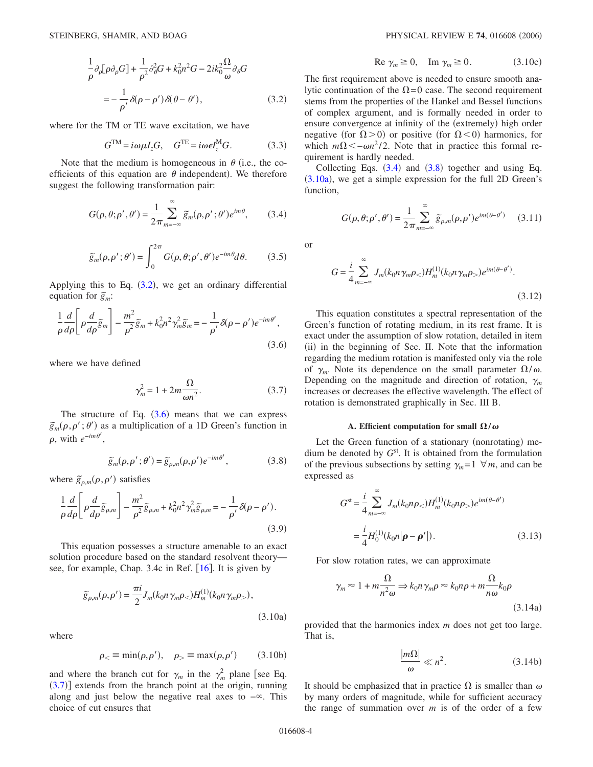<span id="page-3-0"></span>
$$
\frac{1}{\rho}\partial_{\rho}[\rho\partial_{\rho}G] + \frac{1}{\rho^2}\partial_{\theta}^{2}G + k_{0}^{2}n^{2}G - 2ik_{0}^{2}\frac{\Omega}{\omega}\partial_{\theta}G
$$
\n
$$
= -\frac{1}{\rho'}\delta(\rho - \rho')\delta(\theta - \theta'), \qquad (3.2)
$$

where for the TM or TE wave excitation, we have

$$
GTM = i\omega\mu I_z G, \quad GTE = i\omega\epsilon I_z^M G.
$$
 (3.3)

<span id="page-3-3"></span>Note that the medium is homogeneous in  $\theta$  (i.e., the coefficients of this equation are  $\theta$  independent). We therefore suggest the following transformation pair:

$$
G(\rho, \theta; \rho', \theta') = \frac{1}{2\pi} \sum_{m=-\infty}^{\infty} \tilde{g}_m(\rho, \rho'; \theta') e^{im\theta},
$$
 (3.4)

$$
\widetilde{g}_m(\rho,\rho';\theta') = \int_0^{2\pi} G(\rho,\theta;\rho',\theta') e^{-im\theta} d\theta.
$$
 (3.5)

Applying this to Eq.  $(3.2)$  $(3.2)$  $(3.2)$ , we get an ordinary differential equation for  $\tilde{g}_m$ :

<span id="page-3-1"></span>
$$
\frac{1}{\rho} \frac{d}{d\rho} \left[ \rho \frac{d}{d\rho} \tilde{g}_m \right] - \frac{m^2}{\rho^2} \tilde{g}_m + k_0^2 n^2 \gamma_m^2 \tilde{g}_m = -\frac{1}{\rho'} \delta(\rho - \rho') e^{-im\theta'},\tag{3.6}
$$

<span id="page-3-2"></span>where we have defined

$$
\gamma_m^2 = 1 + 2m \frac{\Omega}{\omega n^2}.
$$
 (3.7)

The structure of Eq.  $(3.6)$  $(3.6)$  $(3.6)$  means that we can express  $\tilde{g}_m(\rho, \rho'; \theta')$  as a multiplication of a 1D Green's function in  $\rho$ , with  $e^{-im\theta}$ ,

$$
\widetilde{g}_m(\rho,\rho';\theta') = \widetilde{g}_{\rho,m}(\rho,\rho')e^{-im\theta'},\tag{3.8}
$$

<span id="page-3-4"></span>where  $\tilde{g}_{\rho,m}(\rho,\rho')$  satisfies

$$
\frac{1}{\rho} \frac{d}{d\rho} \left[ \rho \frac{d}{d\rho} \tilde{g}_{\rho,m} \right] - \frac{m^2}{\rho^2} \tilde{g}_{\rho,m} + k_0^2 n^2 \gamma_m^2 \tilde{g}_{\rho,m} = -\frac{1}{\rho'} \delta(\rho - \rho').
$$
\n(3.9)

<span id="page-3-5"></span>This equation possesses a structure amenable to an exact solution procedure based on the standard resolvent theory see, for example, Chap. 3.4c in Ref.  $[16]$  $[16]$  $[16]$ . It is given by

$$
\tilde{g}_{\rho,m}(\rho,\rho') = \frac{\pi i}{2} J_m(k_0 n \gamma_m \rho_<) H_m^{(1)}(k_0 n \gamma_m \rho_>)\,,
$$
\n(3.10a)

where

$$
\rho_{\leq} \equiv \min(\rho, \rho'), \quad \rho_{>} \equiv \max(\rho, \rho') \tag{3.10b}
$$

and where the branch cut for  $\gamma_m$  in the  $\gamma_m^2$  plane [see Eq.  $(3.7)$  $(3.7)$  $(3.7)$ ] extends from the branch point at the origin, running along and just below the negative real axes to  $-\infty$ . This choice of cut ensures that

$$
\text{Re } \gamma_m \ge 0, \quad \text{Im } \gamma_m \ge 0. \tag{3.10c}
$$

The first requirement above is needed to ensure smooth analytic continuation of the  $\Omega$ =0 case. The second requirement stems from the properties of the Hankel and Bessel functions of complex argument, and is formally needed in order to ensure convergence at infinity of the (extremely) high order negative (for  $\Omega > 0$ ) or positive (for  $\Omega < 0$ ) harmonics, for which  $m\Omega < -\omega n^2/2$ . Note that in practice this formal requirement is hardly needed.

Collecting Eqs.  $(3.4)$  $(3.4)$  $(3.4)$  and  $(3.8)$  $(3.8)$  $(3.8)$  together and using Eq.  $(3.10a)$  $(3.10a)$  $(3.10a)$ , we get a simple expression for the full 2D Green's function,

$$
G(\rho, \theta; \rho', \theta') = \frac{1}{2\pi} \sum_{m=-\infty}^{\infty} \widetilde{g}_{\rho,m}(\rho, \rho') e^{im(\theta - \theta')} \tag{3.11}
$$

<span id="page-3-7"></span>or

$$
G = \frac{i}{4} \sum_{m=-\infty}^{\infty} J_m(k_0 n \gamma_m \rho_<) H_m^{(1)}(k_0 n \gamma_m \rho_>) e^{im(\theta - \theta')}.
$$
\n(3.12)

This equation constitutes a spectral representation of the Green's function of rotating medium, in its rest frame. It is exact under the assumption of slow rotation, detailed in item (ii) in the beginning of Sec. II. Note that the information regarding the medium rotation is manifested only via the role of  $\gamma_m$ . Note its dependence on the small parameter  $\Omega/\omega$ . Depending on the magnitude and direction of rotation,  $\gamma_m$ increases or decreases the effective wavelength. The effect of rotation is demonstrated graphically in Sec. III B.

### A. Efficient computation for small  $\Omega/\omega$

Let the Green function of a stationary (nonrotating) medium be denoted by  $G<sup>st</sup>$ . It is obtained from the formulation of the previous subsections by setting  $\gamma_m = 1 \ \forall m$ , and can be expressed as

<span id="page-3-8"></span>
$$
G^{\text{st}} = \frac{i}{4} \sum_{m=-\infty}^{\infty} J_m(k_0 n \rho_<) H_m^{(1)}(k_0 n \rho_>) e^{im(\theta - \theta')}
$$
  
= 
$$
\frac{i}{4} H_0^{(1)}(k_0 n |\boldsymbol{\rho} - \boldsymbol{\rho}'|).
$$
(3.13)

For slow rotation rates, we can approximate

$$
\gamma_m \approx 1 + m \frac{\Omega}{n^2 \omega} \Rightarrow k_0 n \gamma_m \rho \approx k_0 n \rho + m \frac{\Omega}{n \omega} k_0 \rho
$$
\n(3.14a)

<span id="page-3-6"></span>provided that the harmonics index *m* does not get too large. That is,

$$
\frac{|m\Omega|}{\omega} \ll n^2. \tag{3.14b}
$$

It should be emphasized that in practice  $\Omega$  is smaller than  $\omega$ by many orders of magnitude, while for sufficient accuracy the range of summation over *m* is of the order of a few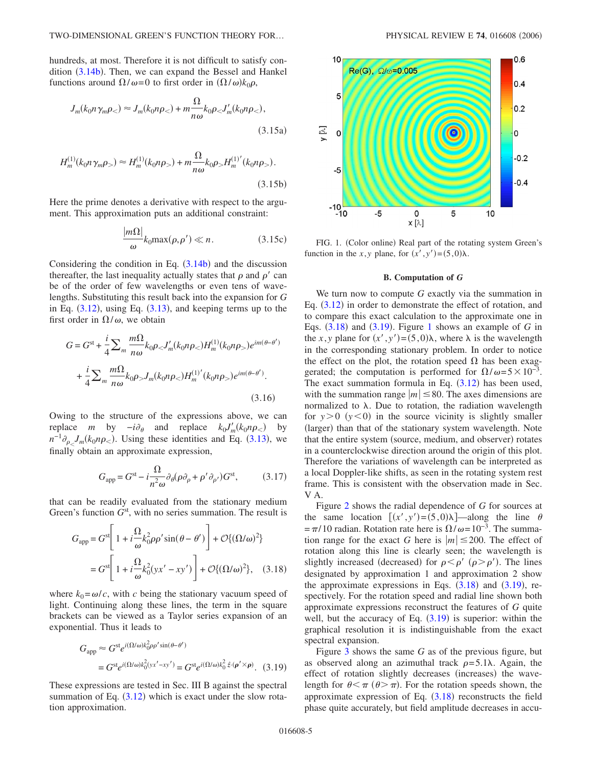hundreds, at most. Therefore it is not difficult to satisfy con-dition ([3.14b](#page-3-6)). Then, we can expand the Bessel and Hankel functions around  $\Omega/\omega=0$  to first order in  $(\Omega/\omega)k_0\rho$ ,

$$
J_m(k_0 n \gamma_m \rho_<) \approx J_m(k_0 n \rho_<) + m \frac{\Omega}{n \omega} k_0 \rho_< J'_m(k_0 n \rho_<),
$$
\n(3.15a)

$$
H_m^{(1)}(k_0 n \gamma_m \rho_>) \approx H_m^{(1)}(k_0 n \rho_>) + m \frac{\Omega}{n \omega} k_0 \rho_> H_m^{(1)'}(k_0 n \rho_>).
$$
\n(3.15b)

Here the prime denotes a derivative with respect to the argument. This approximation puts an additional constraint:

$$
\frac{|m\Omega|}{\omega}k_0 \max(\rho, \rho') \ll n. \tag{3.15c}
$$

Considering the condition in Eq.  $(3.14b)$  $(3.14b)$  $(3.14b)$  and the discussion thereafter, the last inequality actually states that  $\rho$  and  $\rho'$  can be of the order of few wavelengths or even tens of wavelengths. Substituting this result back into the expansion for *G* in Eq.  $(3.12)$  $(3.12)$  $(3.12)$ , using Eq.  $(3.13)$  $(3.13)$  $(3.13)$ , and keeping terms up to the first order in  $\Omega/\omega$ , we obtain

$$
G = G^{\text{st}} + \frac{i}{4} \sum_{m} \frac{m\Omega}{n\omega} k_0 \rho_{<} J'_{m}(k_0 n \rho_{<}) H_m^{(1)}(k_0 n \rho_{>}) e^{im(\theta - \theta')}
$$
  
+ 
$$
\frac{i}{4} \sum_{m} \frac{m\Omega}{n\omega} k_0 \rho_{>} J_m(k_0 n \rho_{<}) H_m^{(1)'}(k_0 n \rho_{>}) e^{im(\theta - \theta')}.
$$
(3.16)

Owing to the structure of the expressions above, we can replace *m* by  $-i\partial_{\theta}$  and replace  $k_0 J'_m(k_0 n \rho_<)$  by  $n^{-1} \partial_{\rho} \langle J_m(k_0 n \rho \rangle)$ . Using these identities and Eq. ([3.13](#page-3-8)), we finally obtain an approximate expression,

$$
G_{\rm app} = G^{\rm st} - i \frac{\Omega}{n^2 \omega} \partial_{\theta} (\rho \partial_{\rho} + \rho' \partial_{\rho'}) G^{\rm st}, \tag{3.17}
$$

<span id="page-4-0"></span>that can be readily evaluated from the stationary medium Green's function  $G<sup>st</sup>$ , with no series summation. The result is

$$
G_{app} = G^{st} \left[ 1 + i \frac{\Omega}{\omega} k_0^2 \rho \rho' \sin(\theta - \theta') \right] + \mathcal{O}\{ (\Omega/\omega)^2 \}
$$

$$
= G^{st} \left[ 1 + i \frac{\Omega}{\omega} k_0^2 (yx' - xy') \right] + \mathcal{O}\{ (\Omega/\omega)^2 \}, \quad (3.18)
$$

where  $k_0 = \omega/c$ , with *c* being the stationary vacuum speed of light. Continuing along these lines, the term in the square brackets can be viewed as a Taylor series expansion of an exponential. Thus it leads to

<span id="page-4-1"></span>
$$
G_{app} \approx G^{\text{st}} e^{i(\Omega/\omega)k_0^2 \rho \rho' \sin(\theta - \theta')}
$$

$$
= G^{\text{st}} e^{i(\Omega/\omega)k_0^2 (yx' - xy')} = G^{\text{st}} e^{i(\Omega/\omega)k_0^2 \hat{z} \cdot (\pmb{\rho}' \times \pmb{\rho})}. \quad (3.19)
$$

These expressions are tested in Sec. III B against the spectral summation of Eq.  $(3.12)$  $(3.12)$  $(3.12)$  which is exact under the slow rotation approximation.

<span id="page-4-2"></span>

FIG. 1. (Color online) Real part of the rotating system Green's function in the *x*, *y* plane, for  $(x', y') = (5, 0)\lambda$ .

## **B. Computation of** *G*

We turn now to compute *G* exactly via the summation in Eq.  $(3.12)$  $(3.12)$  $(3.12)$  in order to demonstrate the effect of rotation, and to compare this exact calculation to the approximate one in Eqs.  $(3.18)$  $(3.18)$  $(3.18)$  and  $(3.19)$  $(3.19)$  $(3.19)$ . Figure [1](#page-4-2) shows an example of *G* in the *x*, *y* plane for  $(x', y') = (5, 0) \lambda$ , where  $\lambda$  is the wavelength in the corresponding stationary problem. In order to notice the effect on the plot, the rotation speed  $\Omega$  has been exaggerated; the computation is performed for  $\Omega/\omega = 5 \times 10^{-3}$ . The exact summation formula in Eq.  $(3.12)$  $(3.12)$  $(3.12)$  has been used, with the summation range  $|m| \leq 80$ . The axes dimensions are normalized to  $\lambda$ . Due to rotation, the radiation wavelength for  $y > 0$  ( $y < 0$ ) in the source vicinity is slightly smaller (larger) than that of the stationary system wavelength. Note that the entire system (source, medium, and observer) rotates in a counterclockwise direction around the origin of this plot. Therefore the variations of wavelength can be interpreted as a local Doppler-like shifts, as seen in the rotating system rest frame. This is consistent with the observation made in Sec. V A.

Figure [2](#page-5-0) shows the radial dependence of *G* for sources at the same location  $[(x', y') = (5, 0)\lambda]$ —along the line  $\theta$  $=\pi/10$  radian. Rotation rate here is  $\Omega/\omega = 10^{-3}$ . The summation range for the exact *G* here is  $|m| \le 200$ . The effect of rotation along this line is clearly seen; the wavelength is slightly increased (decreased) for  $\rho < \rho'$  ( $\rho > \rho'$ ). The lines designated by approximation 1 and approximation 2 show the approximate expressions in Eqs.  $(3.18)$  $(3.18)$  $(3.18)$  and  $(3.19)$  $(3.19)$  $(3.19)$ , respectively. For the rotation speed and radial line shown both approximate expressions reconstruct the features of *G* quite well, but the accuracy of Eq.  $(3.19)$  $(3.19)$  $(3.19)$  is superior: within the graphical resolution it is indistinguishable from the exact spectral expansion.

Figure [3](#page-5-1) shows the same *G* as of the previous figure, but as observed along an azimuthal track  $\rho = 5.1\lambda$ . Again, the effect of rotation slightly decreases (increases) the wavelength for  $\theta \leq \pi$  ( $\theta \geq \pi$ ). For the rotation speeds shown, the approximate expression of Eq.  $(3.18)$  $(3.18)$  $(3.18)$  reconstructs the field phase quite accurately, but field amplitude decreases in accu-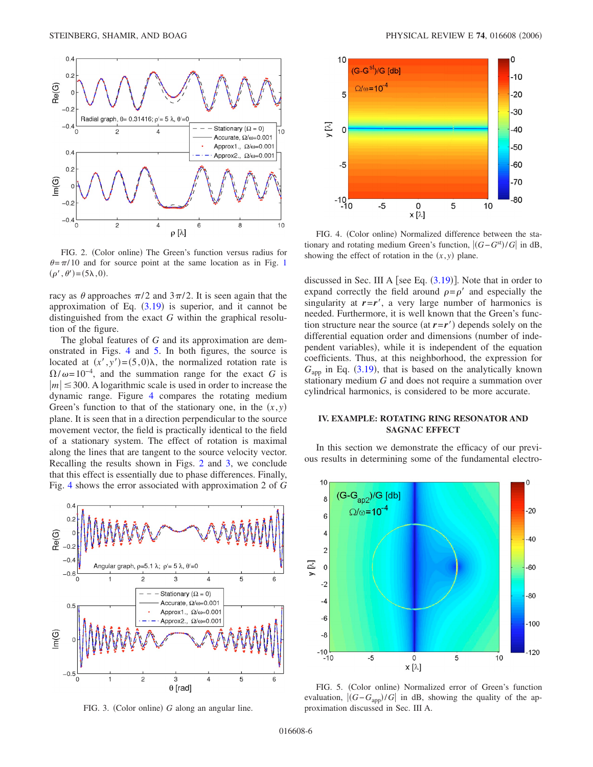<span id="page-5-0"></span>

FIG. 2. (Color online) The Green's function versus radius for  $\theta = \pi/10$  $\theta = \pi/10$  $\theta = \pi/10$  and for source point at the same location as in Fig. 1  $(\rho', \theta') = (5\lambda, 0).$ 

racy as  $\theta$  approaches  $\pi/2$  and  $3\pi/2$ . It is seen again that the approximation of Eq.  $(3.19)$  $(3.19)$  $(3.19)$  is superior, and it cannot be distinguished from the exact *G* within the graphical resolution of the figure.

The global features of *G* and its approximation are demonstrated in Figs. [4](#page-5-2) and [5.](#page-5-3) In both figures, the source is located at  $(x', y') = (5, 0) \lambda$ , the normalized rotation rate is  $\Omega/\omega = 10^{-4}$ , and the summation range for the exact *G* is  $|m| \leq 300$ . A logarithmic scale is used in order to increase the dynamic range. Figure [4](#page-5-2) compares the rotating medium Green's function to that of the stationary one, in the  $(x, y)$ plane. It is seen that in a direction perpendicular to the source movement vector, the field is practically identical to the field of a stationary system. The effect of rotation is maximal along the lines that are tangent to the source velocity vector. Recalling the results shown in Figs. [2](#page-5-0) and [3,](#page-5-1) we conclude that this effect is essentially due to phase differences. Finally, Fig. [4](#page-5-2) shows the error associated with approximation 2 of *G*

<span id="page-5-1"></span>

FIG. 3. (Color online) G along an angular line.

<span id="page-5-2"></span>

FIG. 4. (Color online) Normalized difference between the stationary and rotating medium Green's function,  $|(G - G<sup>st</sup>)/G|$  in dB, showing the effect of rotation in the  $(x, y)$  plane.

discussed in Sec. III A [see Eq.  $(3.19)$  $(3.19)$  $(3.19)$ ]. Note that in order to expand correctly the field around  $\rho = \rho'$  and especially the singularity at  $r=r'$ , a very large number of harmonics is needed. Furthermore, it is well known that the Green's function structure near the source  $(at r = r')$  depends solely on the differential equation order and dimensions (number of independent variables), while it is independent of the equation coefficients. Thus, at this neighborhood, the expression for  $G<sub>app</sub>$  in Eq. ([3.19](#page-4-1)), that is based on the analytically known stationary medium *G* and does not require a summation over cylindrical harmonics, is considered to be more accurate.

# **IV. EXAMPLE: ROTATING RING RESONATOR AND SAGNAC EFFECT**

In this section we demonstrate the efficacy of our previous results in determining some of the fundamental electro-

<span id="page-5-3"></span>

FIG. 5. (Color online) Normalized error of Green's function evaluation,  $|(G - G_{app})/G|$  in dB, showing the quality of the approximation discussed in Sec. III A.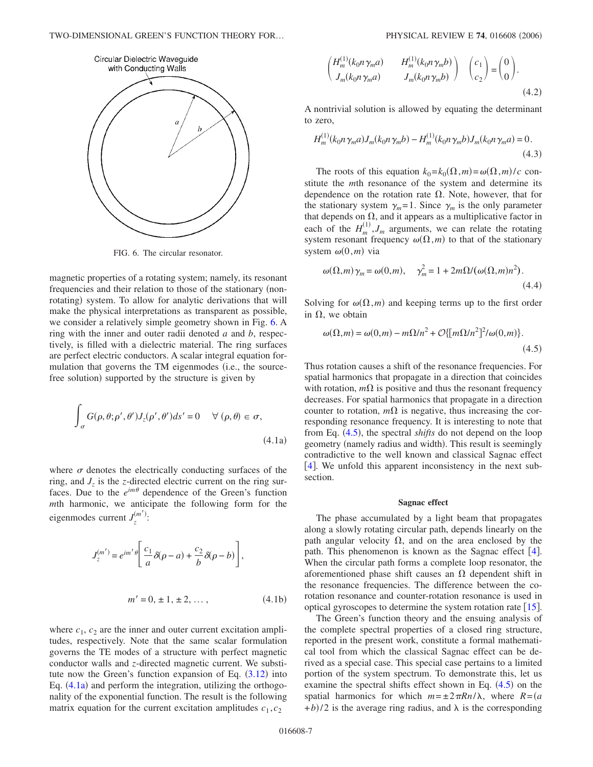<span id="page-6-0"></span>

FIG. 6. The circular resonator.

magnetic properties of a rotating system; namely, its resonant frequencies and their relation to those of the stationary (nonrotating) system. To allow for analytic derivations that will make the physical interpretations as transparent as possible, we consider a relatively simple geometry shown in Fig. [6.](#page-6-0) A ring with the inner and outer radii denoted *a* and *b*, respectively, is filled with a dielectric material. The ring surfaces are perfect electric conductors. A scalar integral equation formulation that governs the TM eigenmodes (i.e., the sourcefree solution) supported by the structure is given by

<span id="page-6-1"></span>
$$
\int_{\sigma} G(\rho, \theta; \rho', \theta') J_z(\rho', \theta') ds' = 0 \quad \forall (\rho, \theta) \in \sigma,
$$
\n(4.1a)

where  $\sigma$  denotes the electrically conducting surfaces of the ring, and  $J_z$  is the *z*-directed electric current on the ring surfaces. Due to the  $e^{im\theta}$  dependence of the Green's function *m*th harmonic, we anticipate the following form for the eigenmodes current  $J_z^{(m')}$ :

$$
J_z^{(m')} = e^{im'\theta} \left[ \frac{c_1}{a} \delta(\rho - a) + \frac{c_2}{b} \delta(\rho - b) \right],
$$
  

$$
m' = 0, \pm 1, \pm 2, \dots,
$$
 (4.1b)

where  $c_1$ ,  $c_2$  are the inner and outer current excitation amplitudes, respectively. Note that the same scalar formulation governs the TE modes of a structure with perfect magnetic conductor walls and *z*-directed magnetic current. We substitute now the Green's function expansion of Eq.  $(3.12)$  $(3.12)$  $(3.12)$  into Eq. ([4.1a](#page-6-1)) and perform the integration, utilizing the orthogonality of the exponential function. The result is the following matrix equation for the current excitation amplitudes  $c_1, c_2$ 

$$
\begin{pmatrix} H_m^{(1)}(k_0 n \gamma_m a) & H_m^{(1)}(k_0 n \gamma_m b) \\ J_m(k_0 n \gamma_m a) & J_m(k_0 n \gamma_m b) \end{pmatrix} \begin{pmatrix} c_1 \\ c_2 \end{pmatrix} = \begin{pmatrix} 0 \\ 0 \end{pmatrix} . \tag{4.2}
$$

A nontrivial solution is allowed by equating the determinant to zero,

$$
H_m^{(1)}(k_0n\gamma_m a)J_m(k_0n\gamma_m b) - H_m^{(1)}(k_0n\gamma_m b)J_m(k_0n\gamma_m a) = 0.
$$
\n(4.3)

The roots of this equation  $k_0 = k_0(\Omega, m) = \omega(\Omega, m)/c$  constitute the *m*th resonance of the system and determine its dependence on the rotation rate  $\Omega$ . Note, however, that for the stationary system  $\gamma_m = 1$ . Since  $\gamma_m$  is the only parameter that depends on  $\Omega$ , and it appears as a multiplicative factor in each of the  $H_m^{(1)}, J_m$  arguments, we can relate the rotating system resonant frequency  $\omega(\Omega,m)$  to that of the stationary system ω(0,*m*) via

$$
\omega(\Omega, m)\gamma_m = \omega(0, m), \quad \gamma_m^2 = 1 + 2m\Omega/(\omega(\Omega, m)n^2).
$$
\n(4.4)

Solving for  $\omega(\Omega, m)$  and keeping terms up to the first order in  $\Omega$ , we obtain

<span id="page-6-2"></span>
$$
\omega(\Omega,m) = \omega(0,m) - m\Omega/n^2 + \mathcal{O}\{[m\Omega/n^2]^2/\omega(0,m)\}.
$$
\n(4.5)

Thus rotation causes a shift of the resonance frequencies. For spatial harmonics that propagate in a direction that coincides with rotation,  $m\Omega$  is positive and thus the resonant frequency decreases. For spatial harmonics that propagate in a direction counter to rotation,  $m\Omega$  is negative, thus increasing the corresponding resonance frequency. It is interesting to note that from Eq. ([4.5](#page-6-2)), the spectral *shifts* do not depend on the loop geometry (namely radius and width). This result is seemingly contradictive to the well known and classical Sagnac effect  $[4]$  $[4]$  $[4]$ . We unfold this apparent inconsistency in the next subsection.

#### **Sagnac effect**

The phase accumulated by a light beam that propagates along a slowly rotating circular path, depends linearly on the path angular velocity  $\Omega$ , and on the area enclosed by the path. This phenomenon is known as the Sagnac effect  $[4]$  $[4]$  $[4]$ . When the circular path forms a complete loop resonator, the aforementioned phase shift causes an  $\Omega$  dependent shift in the resonance frequencies. The difference between the corotation resonance and counter-rotation resonance is used in optical gyroscopes to determine the system rotation rate  $[15]$  $[15]$  $[15]$ .

The Green's function theory and the ensuing analysis of the complete spectral properties of a closed ring structure, reported in the present work, constitute a formal mathematical tool from which the classical Sagnac effect can be derived as a special case. This special case pertains to a limited portion of the system spectrum. To demonstrate this, let us examine the spectral shifts effect shown in Eq.  $(4.5)$  $(4.5)$  $(4.5)$  on the spatial harmonics for which  $m = \pm 2\pi R n / \lambda$ , where  $R = (a$  $+b$ /2 is the average ring radius, and  $\lambda$  is the corresponding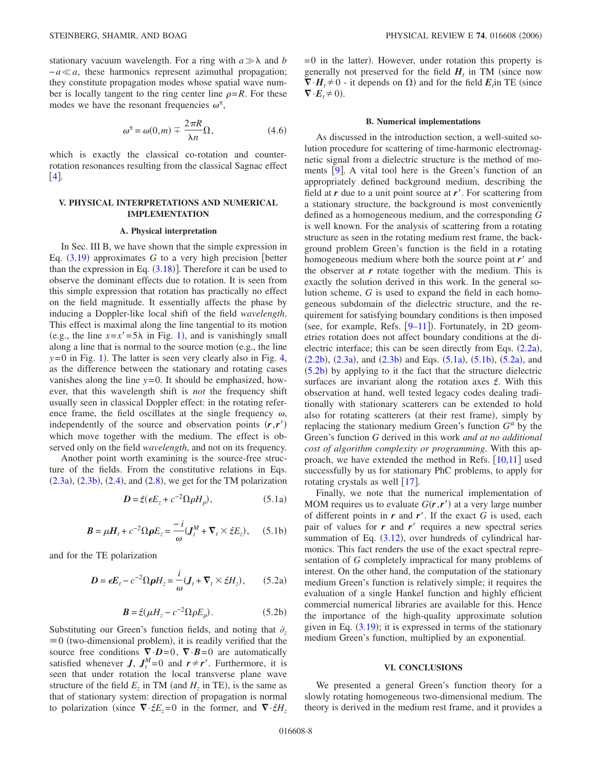stationary vacuum wavelength. For a ring with  $a \gg \lambda$  and *b* −*aa*, these harmonics represent azimuthal propagation; they constitute propagation modes whose spatial wave number is locally tangent to the ring center line  $\rho = R$ . For these modes we have the resonant frequencies  $\omega^{\pm}$ ,

$$
\omega^{\pm} = \omega(0, m) = \frac{2\pi R}{\lambda n} \Omega, \qquad (4.6)
$$

which is exactly the classical co-rotation and counterrotation resonances resulting from the classical Sagnac effect  $\lceil 4 \rceil$  $\lceil 4 \rceil$  $\lceil 4 \rceil$ .

## **V. PHYSICAL INTERPRETATIONS AND NUMERICAL IMPLEMENTATION**

#### **A. Physical interpretation**

In Sec. III B, we have shown that the simple expression in Eq.  $(3.19)$  $(3.19)$  $(3.19)$  approximates  $G$  to a very high precision [better than the expression in Eq.  $(3.18)$  $(3.18)$  $(3.18)$ . Therefore it can be used to observe the dominant effects due to rotation. It is seen from this simple expression that rotation has practically no effect on the field magnitude. It essentially affects the phase by inducing a Doppler-like local shift of the field *wavelength*. This effect is maximal along the line tangential to its motion (e.g., the line  $x=x'=5\lambda$  in Fig. [1](#page-4-2)), and is vanishingly small along a line that is normal to the source motion  $(e.g., the line)$  $y=0$  in Fig. [1](#page-4-2)). The latter is seen very clearly also in Fig. [4,](#page-5-2) as the difference between the stationary and rotating cases vanishes along the line  $y=0$ . It should be emphasized, however, that this wavelength shift is *not* the frequency shift usually seen in classical Doppler effect: in the rotating reference frame, the field oscillates at the single frequency  $\omega$ , independently of the source and observation points  $(r, r')$ which move together with the medium. The effect is observed only on the field *wavelength*, and not on its frequency.

<span id="page-7-0"></span>Another point worth examining is the source-free structure of the fields. From the constitutive relations in Eqs.  $(2.3a)$  $(2.3a)$  $(2.3a)$ ,  $(2.3b)$  $(2.3b)$  $(2.3b)$ ,  $(2.4)$  $(2.4)$  $(2.4)$ , and  $(2.8)$  $(2.8)$  $(2.8)$ , we get for the TM polarization

$$
D = \hat{z}(\epsilon E_z + c^{-2} \Omega \rho H_\rho), \tag{5.1a}
$$

$$
\boldsymbol{B} = \mu \boldsymbol{H}_t + c^{-2} \Omega \boldsymbol{\rho} E_z = \frac{-i}{\omega} (\boldsymbol{J}_t^M + \boldsymbol{\nabla}_t \times \hat{\boldsymbol{\tau}} E_z), \quad (5.1b)
$$

<span id="page-7-2"></span><span id="page-7-1"></span>and for the TE polarization

$$
\mathbf{D} = \epsilon \mathbf{E}_t - c^{-2} \Omega \boldsymbol{\rho} H_z = \frac{i}{\omega} (\mathbf{J}_t + \boldsymbol{\nabla}_t \times \hat{\boldsymbol{z}} H_z), \qquad (5.2a)
$$

$$
\mathbf{B} = \hat{z}(\mu H_z - c^{-2} \Omega \rho E_\rho). \tag{5.2b}
$$

<span id="page-7-3"></span>Substituting our Green's function fields, and noting that  $\partial_z$  $\equiv$  0 (two-dimensional problem), it is readily verified that the source free conditions  $\nabla \cdot \mathbf{D} = 0$ ,  $\nabla \cdot \mathbf{B} = 0$  are automatically satisfied whenever *J*,  $J_t^M = 0$  and  $r \neq r'$ . Furthermore, it is seen that under rotation the local transverse plane wave structure of the field  $E_z$  in TM (and  $H_z$  in TE), is the same as that of stationary system: direction of propagation is normal to polarization (since  $\nabla \cdot \hat{z} E_z = 0$  in the former, and  $\nabla \cdot \hat{z} H_z$ 

=0 in the latter). However, under rotation this property is generally not preserved for the field  $H_t$  in TM (since now  $\nabla \cdot H_t \neq 0$  - it depends on  $\Omega$ ) and for the field  $E_t$  in TE (since  $\nabla \cdot \boldsymbol{E}_t \neq 0$ .

### **B. Numerical implementations**

As discussed in the introduction section, a well-suited solution procedure for scattering of time-harmonic electromagnetic signal from a dielectric structure is the method of moments  $[9]$  $[9]$  $[9]$ . A vital tool here is the Green's function of an appropriately defined background medium, describing the field at *r* due to a unit point source at *r'*. For scattering from a stationary structure, the background is most conveniently defined as a homogeneous medium, and the corresponding *G* is well known. For the analysis of scattering from a rotating structure as seen in the rotating medium rest frame, the background problem Green's function is the field in a rotating homogeneous medium where both the source point at *r'* and the observer at  $r$  rotate together with the medium. This is exactly the solution derived in this work. In the general solution scheme, *G* is used to expand the field in each homogeneous subdomain of the dielectric structure, and the requirement for satisfying boundary conditions is then imposed (see, for example, Refs.  $[9-11]$  $[9-11]$  $[9-11]$ ). Fortunately, in 2D geometries rotation does not affect boundary conditions at the dielectric interface; this can be seen directly from Eqs.  $(2.2a)$  $(2.2a)$  $(2.2a)$ ,  $(2.2b)$  $(2.2b)$  $(2.2b)$ ,  $(2.3a)$  $(2.3a)$  $(2.3a)$ , and  $(2.3b)$  $(2.3b)$  $(2.3b)$  and Eqs.  $(5.1a)$  $(5.1a)$  $(5.1a)$ ,  $(5.1b)$  $(5.1b)$  $(5.1b)$ ,  $(5.2a)$  $(5.2a)$  $(5.2a)$ , and ([5.2b](#page-7-3)) by applying to it the fact that the structure dielectric surfaces are invariant along the rotation axes *zˆ*. With this observation at hand, well tested legacy codes dealing traditionally with stationary scatterers can be extended to hold also for rotating scatterers (at their rest frame), simply by replacing the stationary medium Green's function *G*st by the Green's function *G* derived in this work *and at no additional cost of algorithm complexity or programming*. With this approach, we have extended the method in Refs.  $[10,11]$  $[10,11]$  $[10,11]$  $[10,11]$  used successfully by us for stationary PhC problems, to apply for rotating crystals as well  $\lceil 17 \rceil$  $\lceil 17 \rceil$  $\lceil 17 \rceil$ .

Finally, we note that the numerical implementation of MOM requires us to evaluate  $G(\mathbf{r}, \mathbf{r}')$  at a very large number of different points in  $r$  and  $r'$ . If the exact  $G$  is used, each pair of values for  $r$  and  $r'$  requires a new spectral series summation of Eq.  $(3.12)$  $(3.12)$  $(3.12)$ , over hundreds of cylindrical harmonics. This fact renders the use of the exact spectral representation of *G* completely impractical for many problems of interest. On the other hand, the computation of the stationary medium Green's function is relatively simple; it requires the evaluation of a single Hankel function and highly efficient commercial numerical libraries are available for this. Hence the importance of the high-quality approximate solution given in Eq.  $(3.19)$  $(3.19)$  $(3.19)$ ; it is expressed in terms of the stationary medium Green's function, multiplied by an exponential.

### **VI. CONCLUSIONS**

We presented a general Green's function theory for a slowly rotating homogeneous two-dimensional medium. The theory is derived in the medium rest frame, and it provides a